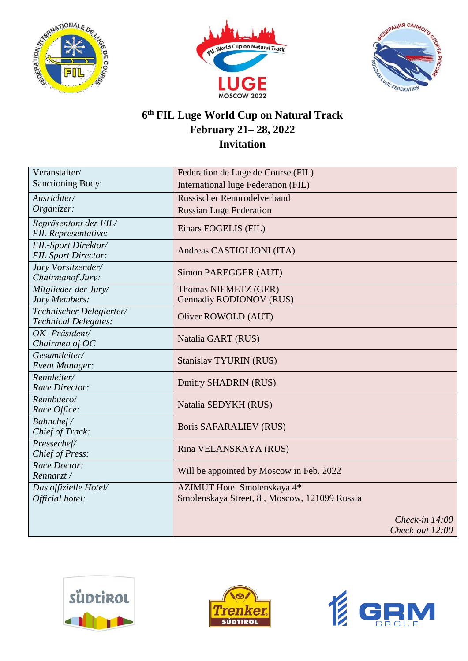





## **6 th FIL Luge World Cup on Natural Track February 21– 28, 2022 Invitation**

| Veranstalter/                         | Federation de Luge de Course (FIL)              |
|---------------------------------------|-------------------------------------------------|
| <b>Sanctioning Body:</b>              | International luge Federation (FIL)             |
| Ausrichter/                           | <b>Russischer Rennrodelverband</b>              |
| Organizer:                            | <b>Russian Luge Federation</b>                  |
| Repräsentant der FIL/                 |                                                 |
| FIL Representative:                   | Einars FOGELIS (FIL)                            |
| FIL-Sport Direktor/                   | Andreas CASTIGLIONI (ITA)                       |
| <b>FIL Sport Director:</b>            |                                                 |
| Jury Vorsitzender/                    | Simon PAREGGER (AUT)                            |
| Chairmanof Jury:                      |                                                 |
| Mitglieder der Jury/<br>Jury Members: | Thomas NIEMETZ (GER)<br>Gennadiy RODIONOV (RUS) |
| Technischer Delegierter/              |                                                 |
| <b>Technical Delegates:</b>           | Oliver ROWOLD (AUT)                             |
| OK-Präsident/                         |                                                 |
| Chairmen of $OC$                      | Natalia GART (RUS)                              |
| Gesamtleiter/                         |                                                 |
| Event Manager:                        | <b>Stanislav TYURIN (RUS)</b>                   |
| Rennleiter/                           | Dmitry SHADRIN (RUS)                            |
| Race Director:                        |                                                 |
| Rennbuero/                            | Natalia SEDYKH (RUS)                            |
| Race Office:                          |                                                 |
| Bahnchef/<br>Chief of Track:          | <b>Boris SAFARALIEV (RUS)</b>                   |
| Pressechef/                           |                                                 |
| Chief of Press:                       | Rina VELANSKAYA (RUS)                           |
| Race Doctor:                          |                                                 |
| Rennarzt/                             | Will be appointed by Moscow in Feb. 2022        |
| Das offizielle Hotel/                 | AZIMUT Hotel Smolenskaya 4*                     |
| Official hotel:                       | Smolenskaya Street, 8, Moscow, 121099 Russia    |
|                                       |                                                 |
|                                       | Check-in $14:00$                                |
|                                       | Check-out 12:00                                 |





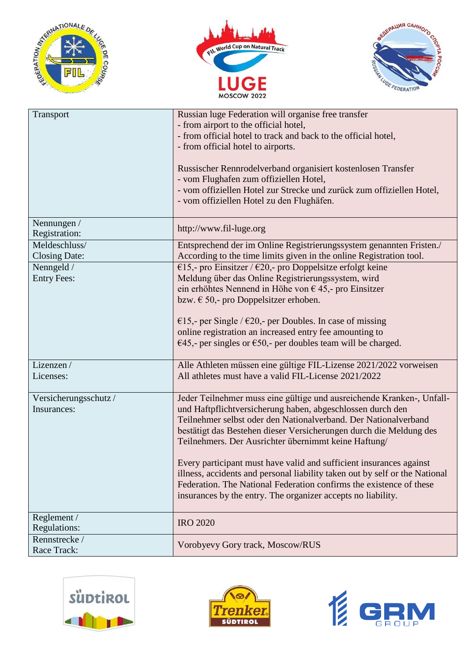





| Transport                             | Russian luge Federation will organise free transfer<br>- from airport to the official hotel,<br>- from official hotel to track and back to the official hotel,<br>- from official hotel to airports.<br>Russischer Rennrodelverband organisiert kostenlosen Transfer<br>- vom Flughafen zum offiziellen Hotel,<br>- vom offiziellen Hotel zur Strecke und zurück zum offiziellen Hotel,<br>- vom offiziellen Hotel zu den Flughäfen.                                                                                                                                                                                              |
|---------------------------------------|-----------------------------------------------------------------------------------------------------------------------------------------------------------------------------------------------------------------------------------------------------------------------------------------------------------------------------------------------------------------------------------------------------------------------------------------------------------------------------------------------------------------------------------------------------------------------------------------------------------------------------------|
| Nennungen /<br>Registration:          | http://www.fil-luge.org                                                                                                                                                                                                                                                                                                                                                                                                                                                                                                                                                                                                           |
| Meldeschluss/<br><b>Closing Date:</b> | Entsprechend der im Online Registrierungssystem genannten Fristen./<br>According to the time limits given in the online Registration tool.                                                                                                                                                                                                                                                                                                                                                                                                                                                                                        |
| Nenngeld /<br><b>Entry Fees:</b>      | €15,- pro Einsitzer / €20,- pro Doppelsitze erfolgt keine<br>Meldung über das Online Registrierungssystem, wird<br>ein erhöhtes Nennend in Höhe von $\epsilon$ 45,- pro Einsitzer<br>bzw. $\epsilon$ 50,- pro Doppelsitzer erhoben.<br>€15,- per Single / €20,- per Doubles. In case of missing<br>online registration an increased entry fee amounting to<br>€45,- per singles or €50,- per doubles team will be charged.                                                                                                                                                                                                        |
| Lizenzen/<br>Licenses:                | Alle Athleten müssen eine gültige FIL-Lizense 2021/2022 vorweisen<br>All athletes must have a valid FIL-License 2021/2022                                                                                                                                                                                                                                                                                                                                                                                                                                                                                                         |
| Versicherungsschutz/<br>Insurances:   | Jeder Teilnehmer muss eine gültige und ausreichende Kranken-, Unfall-<br>und Haftpflichtversicherung haben, abgeschlossen durch den<br>Teilnehmer selbst oder den Nationalverband. Der Nationalverband<br>bestätigt das Bestehen dieser Versicherungen durch die Meldung des<br>Teilnehmers. Der Ausrichter übernimmt keine Haftung/<br>Every participant must have valid and sufficient insurances against<br>illness, accidents and personal liability taken out by self or the National<br>Federation. The National Federation confirms the existence of these<br>insurances by the entry. The organizer accepts no liability. |
| Reglement /<br>Regulations:           | <b>IRO 2020</b>                                                                                                                                                                                                                                                                                                                                                                                                                                                                                                                                                                                                                   |
| Rennstrecke/<br>Race Track:           | Vorobyevy Gory track, Moscow/RUS                                                                                                                                                                                                                                                                                                                                                                                                                                                                                                                                                                                                  |





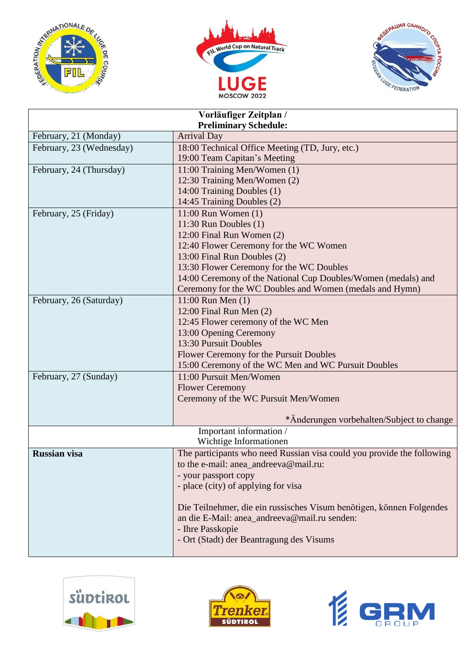





| Vorläufiger Zeitplan /       |                                                                        |  |
|------------------------------|------------------------------------------------------------------------|--|
| <b>Preliminary Schedule:</b> |                                                                        |  |
| February, 21 (Monday)        | <b>Arrival Day</b>                                                     |  |
| February, 23 (Wednesday)     | 18:00 Technical Office Meeting (TD, Jury, etc.)                        |  |
|                              | 19:00 Team Capitan's Meeting                                           |  |
| February, 24 (Thursday)      | 11:00 Training Men/Women (1)                                           |  |
|                              | 12:30 Training Men/Women (2)                                           |  |
|                              | 14:00 Training Doubles (1)                                             |  |
|                              | 14:45 Training Doubles (2)                                             |  |
| February, 25 (Friday)        | $11:00$ Run Women $(1)$                                                |  |
|                              | 11:30 Run Doubles (1)                                                  |  |
|                              | 12:00 Final Run Women (2)                                              |  |
|                              | 12:40 Flower Ceremony for the WC Women                                 |  |
|                              | 13:00 Final Run Doubles (2)                                            |  |
|                              | 13:30 Flower Ceremony for the WC Doubles                               |  |
|                              | 14:00 Ceremony of the National Cup Doubles/Women (medals) and          |  |
|                              | Ceremony for the WC Doubles and Women (medals and Hymn)                |  |
| February, 26 (Saturday)      | 11:00 Run Men (1)                                                      |  |
|                              | 12:00 Final Run Men (2)                                                |  |
|                              | 12:45 Flower ceremony of the WC Men                                    |  |
|                              | 13:00 Opening Ceremony                                                 |  |
|                              | 13:30 Pursuit Doubles                                                  |  |
|                              | Flower Ceremony for the Pursuit Doubles                                |  |
|                              | 15:00 Ceremony of the WC Men and WC Pursuit Doubles                    |  |
| February, 27 (Sunday)        | 11:00 Pursuit Men/Women                                                |  |
|                              | <b>Flower Ceremony</b>                                                 |  |
|                              | Ceremony of the WC Pursuit Men/Women                                   |  |
|                              |                                                                        |  |
|                              | *Änderungen vorbehalten/Subject to change                              |  |
| Important information /      |                                                                        |  |
| Wichtige Informationen       |                                                                        |  |
| <b>Russian visa</b>          | The participants who need Russian visa could you provide the following |  |
|                              | to the e-mail: anea andreeva@mail.ru:                                  |  |
|                              | - your passport copy                                                   |  |
|                              | - place (city) of applying for visa                                    |  |
|                              |                                                                        |  |
|                              | Die Teilnehmer, die ein russisches Visum benötigen, können Folgendes   |  |
|                              | an die E-Mail: anea_andreeva@mail.ru senden:                           |  |
|                              | - Ihre Passkopie                                                       |  |
|                              | - Ort (Stadt) der Beantragung des Visums                               |  |
|                              |                                                                        |  |